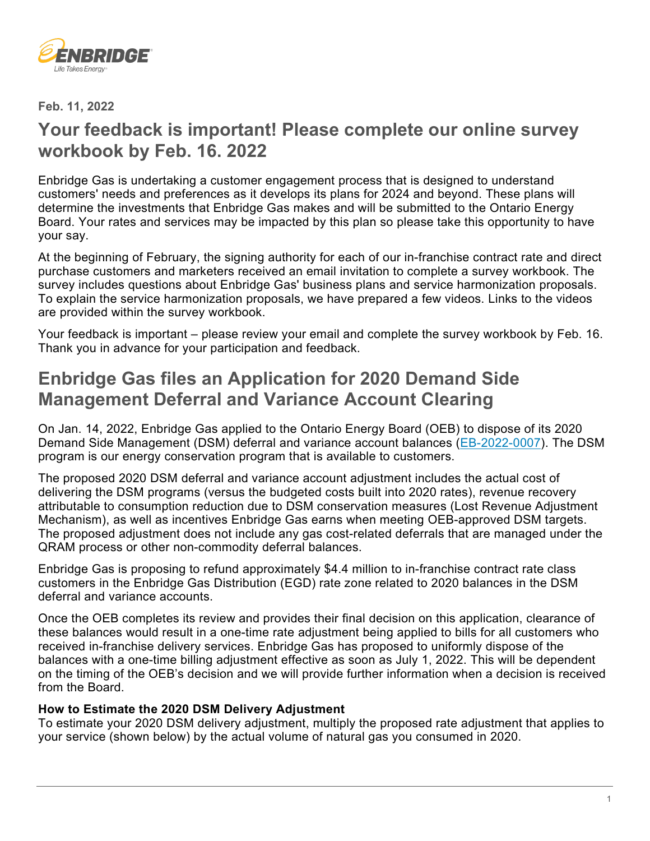

**Feb. 11, 2022**

# **Your feedback is important! Please complete our online survey workbook by Feb. 16. 2022**

Enbridge Gas is undertaking a customer engagement process that is designed to understand customers' needs and preferences as it develops its plans for 2024 and beyond. These plans will determine the investments that Enbridge Gas makes and will be submitted to the Ontario Energy Board. Your rates and services may be impacted by this plan so please take this opportunity to have your say.

At the beginning of February, the signing authority for each of our in-franchise contract rate and direct purchase customers and marketers received an email invitation to complete a survey workbook. The survey includes questions about Enbridge Gas' business plans and service harmonization proposals. To explain the service harmonization proposals, we have prepared a few videos. Links to the videos are provided within the survey workbook.

Your feedback is important – please review your email and complete the survey workbook by Feb. 16. Thank you in advance for your participation and feedback.

# **Enbridge Gas files an Application for 2020 Demand Side Management Deferral and Variance Account Clearing**

On Jan. 14, 2022, Enbridge Gas applied to the Ontario Energy Board (OEB) to dispose of its 2020 Demand Side Management (DSM) deferral and variance account balances [\(EB-2022-0007\)](https://www.enbridgegas.com/about-enbridge-gas/regulatory). The DSM program is our energy conservation program that is available to customers.

The proposed 2020 DSM deferral and variance account adjustment includes the actual cost of delivering the DSM programs (versus the budgeted costs built into 2020 rates), revenue recovery attributable to consumption reduction due to DSM conservation measures (Lost Revenue Adjustment Mechanism), as well as incentives Enbridge Gas earns when meeting OEB-approved DSM targets. The proposed adjustment does not include any gas cost-related deferrals that are managed under the QRAM process or other non-commodity deferral balances.

Enbridge Gas is proposing to refund approximately \$4.4 million to in-franchise contract rate class customers in the Enbridge Gas Distribution (EGD) rate zone related to 2020 balances in the DSM deferral and variance accounts.

Once the OEB completes its review and provides their final decision on this application, clearance of these balances would result in a one-time rate adjustment being applied to bills for all customers who received in-franchise delivery services. Enbridge Gas has proposed to uniformly dispose of the balances with a one-time billing adjustment effective as soon as July 1, 2022. This will be dependent on the timing of the OEB's decision and we will provide further information when a decision is received from the Board.

### **How to Estimate the 2020 DSM Delivery Adjustment**

To estimate your 2020 DSM delivery adjustment, multiply the proposed rate adjustment that applies to your service (shown below) by the actual volume of natural gas you consumed in 2020.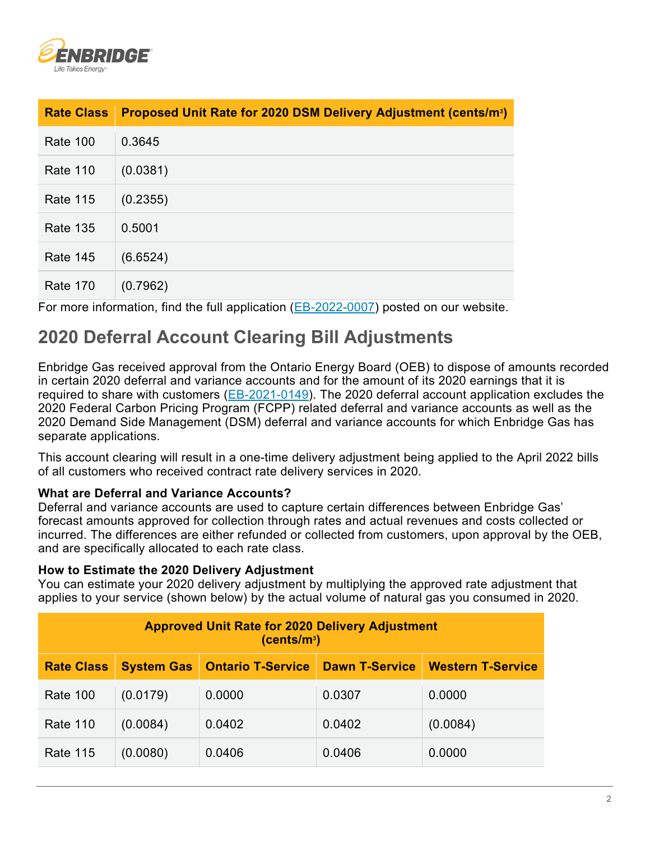

| <b>Rate Class</b> | Proposed Unit Rate for 2020 DSM Delivery Adjustment (cents/m <sup>3</sup> ) |
|-------------------|-----------------------------------------------------------------------------|
| <b>Rate 100</b>   | 0.3645                                                                      |
| <b>Rate 110</b>   | (0.0381)                                                                    |
| <b>Rate 115</b>   | (0.2355)                                                                    |
| <b>Rate 135</b>   | 0.5001                                                                      |
| <b>Rate 145</b>   | (6.6524)                                                                    |
| <b>Rate 170</b>   | (0.7962)                                                                    |

For more information, find the full application [\(EB-2022-0007\)](https://www.enbridgegas.com/about-enbridge-gas/regulatory) posted on our website.

# **2020 Deferral Account Clearing Bill Adjustments**

Enbridge Gas received approval from the Ontario Energy Board (OEB) to dispose of amounts recorded in certain 2020 deferral and variance accounts and for the amount of its 2020 earnings that it is required to share with customers [\(EB-2021-0149\)](https://www.enbridgegas.com/about-enbridge-gas/regulatory). The 2020 deferral account application excludes the 2020 Federal Carbon Pricing Program (FCPP) related deferral and variance accounts as well as the 2020 Demand Side Management (DSM) deferral and variance accounts for which Enbridge Gas has separate applications.

This account clearing will result in a one-time delivery adjustment being applied to the April 2022 bills of all customers who received contract rate delivery services in 2020.

### **What are Deferral and Variance Accounts?**

Deferral and variance accounts are used to capture certain differences between Enbridge Gas' forecast amounts approved for collection through rates and actual revenues and costs collected or incurred. The differences are either refunded or collected from customers, upon approval by the OEB, and are specifically allocated to each rate class.

#### **How to Estimate the 2020 Delivery Adjustment**

You can estimate your 2020 delivery adjustment by multiplying the approved rate adjustment that applies to your service (shown below) by the actual volume of natural gas you consumed in 2020.

| <b>Approved Unit Rate for 2020 Delivery Adjustment</b><br>(cents/m <sup>3</sup> ) |                   |                          |                       |                          |  |  |
|-----------------------------------------------------------------------------------|-------------------|--------------------------|-----------------------|--------------------------|--|--|
| <b>Rate Class</b>                                                                 | <b>System Gas</b> | <b>Ontario T-Service</b> | <b>Dawn T-Service</b> | <b>Western T-Service</b> |  |  |
| <b>Rate 100</b>                                                                   | (0.0179)          | 0.0000                   | 0.0307                | 0.0000                   |  |  |
| <b>Rate 110</b>                                                                   | (0.0084)          | 0.0402                   | 0.0402                | (0.0084)                 |  |  |
| <b>Rate 115</b>                                                                   | (0.0080)          | 0.0406                   | 0.0406                | 0.0000                   |  |  |